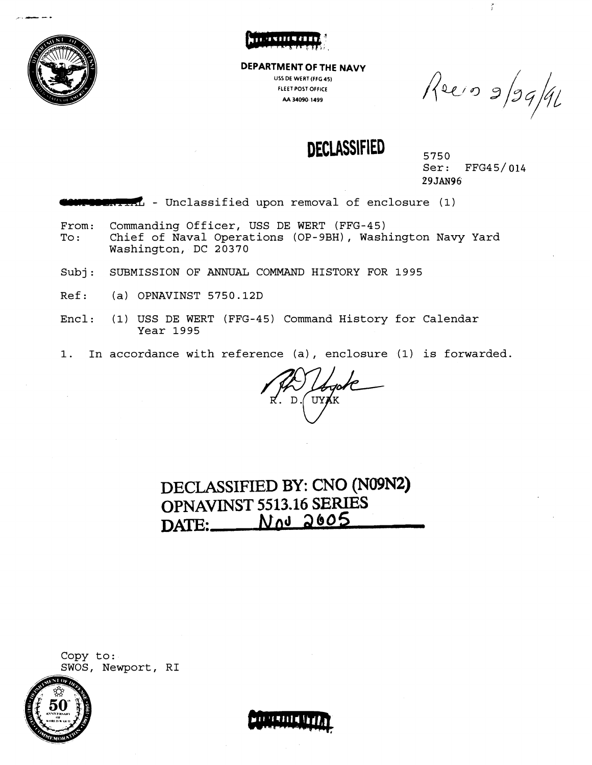



**DEPARTMENT OF THE NAVY USS DE WERT(FFG 45) FLEET POSTOFFICE AA 34090 1499** 

Reein 9/99/91

ž.

**DECLASSIFIED** 5750

Ser: FFG45/014 **29JA~96** 

**DOMITAL** - Unclassified upon removal of enclosure (1)

- From: Commanding Officer, USS DE WERT (FFG-45) To: Chief of Naval Operations (OP-9BH), Washington Navy Yard Washington, DC 20370
- Subj: SUBMISSION OF ANNUAL COMMAND HISTORY FOR 1995
- Ref: (a) OPNAVINST 5750.12D
- Encl: (1) USS DE WERT (FFG-45) Command History for Calendar Year 1995
- 1. In accordance with reference (a), enclosure **(1)** is forwarded.

**DECLASSIFIED BY:** CNO **(N09N2) OPNAVINST 5513.16 SERIES DNE: Nfid 2605** 





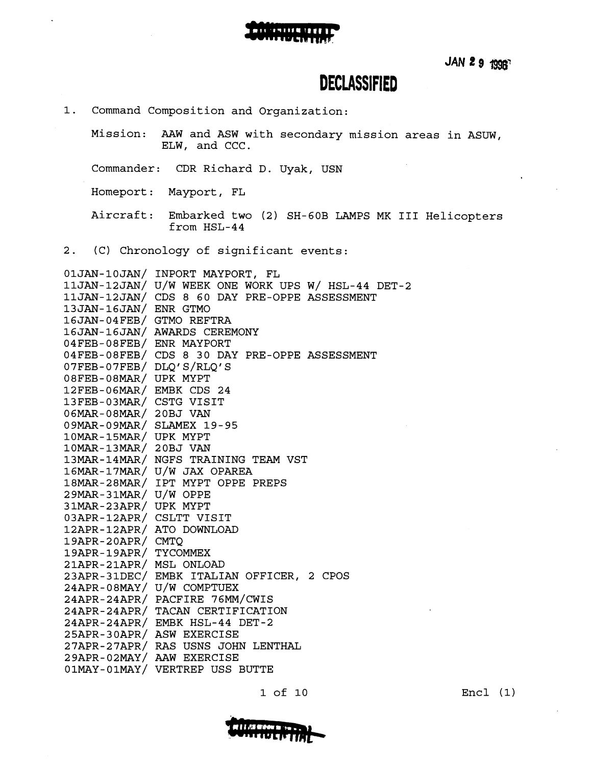

JAN 2 9 1996

### **DECLASSIFIED**

1. Command Composition and Organization:

Mission: AAW and ASW with secondary mission areas in ASUW, ELW, and CCC.

Commander: CDR Richard D. Uyak, USN

Homeport: Mayport, FL

Aircraft: Embarked two (2) SH-GOB LAMPS MK I11 Helicopters from HSL-44

2. (C) Chronology of significant events:

|                          | 01JAN-10JAN/ INPORT MAYPORT, FL                    |
|--------------------------|----------------------------------------------------|
|                          | 11JAN-12JAN/ U/W WEEK ONE WORK UPS W/ HSL-44 DET-2 |
|                          | 11JAN-12JAN/ CDS 8 60 DAY PRE-OPPE ASSESSMENT      |
| 13JAN-16JAN/ ENR GTMO    |                                                    |
| 16JAN-04FEB/ GTMO REFTRA |                                                    |
|                          | 16JAN-16JAN/ AWARDS CEREMONY                       |
| 04FEB-08FEB/ ENR MAYPORT |                                                    |
|                          | 04FEB-08FEB/ CDS 8 30 DAY PRE-OPPE ASSESSMENT      |
| 07FEB-07FEB/ DLQ'S/RLQ'S |                                                    |
| 08FEB-08MAR/ UPK MYPT    |                                                    |
| 12FEB-06MAR/ EMBK CDS 24 |                                                    |
| 13FEB-03MAR/ CSTG VISIT  |                                                    |
| 06MAR-08MAR/ 20BJ VAN    |                                                    |
|                          | 09MAR-09MAR/ SLAMEX 19-95                          |
| 10MAR-15MAR/ UPK MYPT    |                                                    |
| 10MAR-13MAR/ 20BJ VAN    |                                                    |
|                          | 13MAR-14MAR/ NGFS TRAINING TEAM VST                |
|                          | 16MAR-17MAR/ U/W JAX OPAREA                        |
|                          | 18MAR-28MAR/ IPT MYPT OPPE PREPS                   |
| 29MAR-31MAR/ U/W OPPE    |                                                    |
| 31MAR-23APR/ UPK MYPT    |                                                    |
| 03APR-12APR/ CSLTT VISIT |                                                    |
|                          | 12APR-12APR/ ATO DOWNLOAD                          |
| 19APR-20APR/ CMTQ        |                                                    |
| 19APR-19APR/ TYCOMMEX    |                                                    |
| 21APR-21APR/ MSL ONLOAD  |                                                    |
|                          | 23APR-31DEC/ EMBK ITALIAN OFFICER, 2 CPOS          |
|                          | 24APR-08MAY/ U/W COMPTUEX                          |
|                          | 24APR-24APR/ PACFIRE 76MM/CWIS                     |
|                          | 24APR-24APR/ TACAN CERTIFICATION                   |
|                          | 24APR-24APR/ EMBK HSL-44 DET-2                     |
|                          | 25APR-30APR/ ASW EXERCISE                          |
|                          | 27APR-27APR/ RAS USNS JOHN LENTHAL                 |
|                          | 29APR-02MAY/ AAW EXERCISE                          |
|                          | 01MAY-01MAY/ VERTREP USS BUTTE                     |

11178 M Pers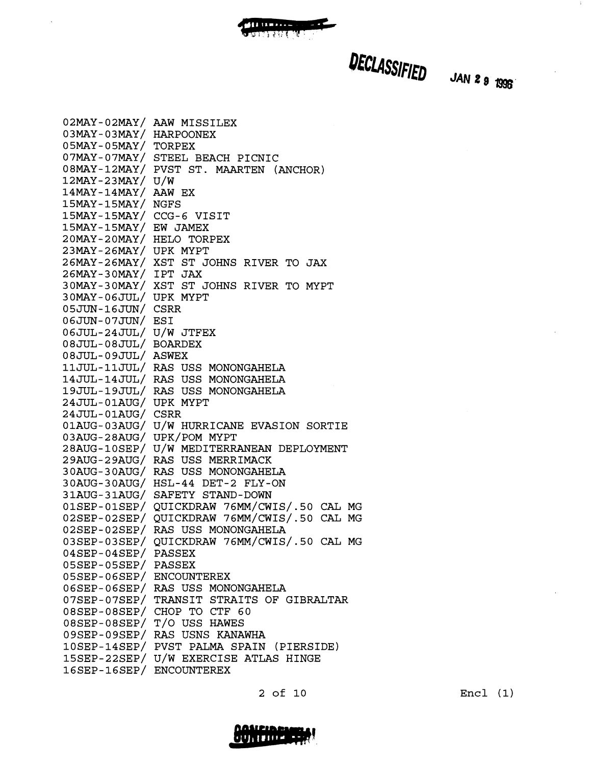

DECLASSIFIED JAN 2 9 1996

 $\ddot{a}$ 

| $02$ MAY-02MAY/          | AAW MISSILEX                                |
|--------------------------|---------------------------------------------|
| $03$ MAY-03MAY/          | HARPOONEX                                   |
| $05$ MAY-05MAY/          | TORPEX                                      |
|                          | 07MAY-07MAY/ STEEL BEACH PICNIC             |
|                          | 08MAY-12MAY/ PVST ST. MAARTEN (ANCHOR)      |
| 12MAY-23MAY/ U/W         |                                             |
| 14MAY-14MAY/ AAW EX      |                                             |
| 15MAY-15MAY/             | <b>NGFS</b>                                 |
| 15MAY-15MAY/ CCG-6 VISIT |                                             |
| 15MAY-15MAY/ EW JAMEX    |                                             |
| 20MAY-20MAY/ HELO TORPEX |                                             |
| 23MAY-26MAY/ UPK MYPT    |                                             |
|                          | 26MAY-26MAY/ XST ST JOHNS RIVER TO JAX      |
| 26MAY-30MAY/ IPT JAX     |                                             |
|                          | 30MAY-30MAY/ XST ST JOHNS RIVER TO MYPT     |
| 30MAY-06JUL/ UPK MYPT    |                                             |
| 05JUN-16JUN/ CSRR        |                                             |
| 06JUN-07JUN/ ESI         |                                             |
| 06JUL-24JUL/ U/W JTFEX   |                                             |
| 08JUL-08JUL/ BOARDEX     |                                             |
| 08JUL-09JUL/ ASWEX       |                                             |
|                          | 11JUL-11JUL/ RAS USS MONONGAHELA            |
|                          | 14JUL-14JUL/ RAS USS MONONGAHELA            |
|                          | 19JUL-19JUL/ RAS USS MONONGAHELA            |
| 24JUL-01AUG/ UPK MYPT    |                                             |
| 24JUL-01AUG/ CSRR        |                                             |
|                          | 01AUG-03AUG/ U/W HURRICANE EVASION SORTIE   |
|                          | 03AUG-28AUG/ UPK/POM MYPT                   |
|                          | 28AUG-10SEP/ U/W MEDITERRANEAN DEPLOYMENT   |
|                          | 29AUG-29AUG/ RAS USS MERRIMACK              |
|                          | 30AUG-30AUG/ RAS USS MONONGAHELA            |
|                          | 30AUG-30AUG/ HSL-44 DET-2 FLY-ON            |
|                          | 31AUG-31AUG/ SAFETY STAND-DOWN              |
|                          | 01SEP-01SEP/ QUICKDRAW 76MM/CWIS/.50 CAL MG |
|                          | 02SEP-02SEP/ QUICKDRAW 76MM/CWIS/.50 CAL MG |
|                          | 02SEP-02SEP/ RAS USS MONONGAHELA            |
| $03$ SEP-03SEP/          | QUICKDRAW 76MM/CWIS/.50 CAL MG              |
| $04$ SEP-04SEP/          | <b>PASSEX</b>                               |
| 05SEP-05SEP/ PASSEX      |                                             |
| 05SEP-06SEP/ ENCOUNTEREX |                                             |
|                          | 06SEP-06SEP/ RAS USS MONONGAHELA            |
| $07$ SEP-07SEP $/$       | TRANSIT STRAITS OF GIBRALTAR                |
|                          | 08SEP-08SEP/ CHOP TO CTF 60                 |
|                          | 08SEP-08SEP/ T/O USS HAWES                  |
|                          | 09SEP-09SEP/ RAS USNS KANAWHA               |
| $10$ SEP-14SEP $/$       | PVST PALMA SPAIN (PIERSIDE)                 |
|                          | 15SEP-22SEP/ U/W EXERCISE ATLAS HINGE       |
| 16SEP-16SEP/ ENCOUNTEREX |                                             |

**PERMITTEN**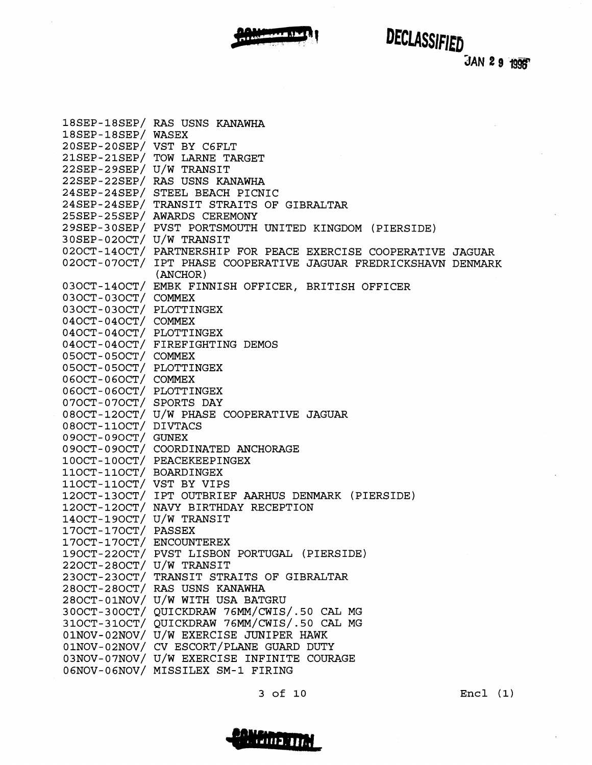

DECLASSIFIED

JAN 29 1996

|                           | 18SEP-18SEP/ RAS USNS KANAWHA                                   |
|---------------------------|-----------------------------------------------------------------|
| 18SEP-18SEP/ WASEX        |                                                                 |
| 20SEP-20SEP/ VST BY C6FLT |                                                                 |
|                           | 21SEP-21SEP/ TOW LARNE TARGET                                   |
| 22SEP-29SEP/ U/W TRANSIT  |                                                                 |
|                           | 22SEP-22SEP/ RAS USNS KANAWHA                                   |
|                           | 24SEP-24SEP/ STEEL BEACH PICNIC                                 |
|                           | 24SEP-24SEP/ TRANSIT STRAITS OF GIBRALTAR                       |
|                           | 25SEP-25SEP/ AWARDS CEREMONY                                    |
|                           | 29SEP-30SEP/ PVST PORTSMOUTH UNITED KINGDOM (PIERSIDE)          |
| 30SEP-02OCT/ U/W TRANSIT  |                                                                 |
|                           | 020CT-140CT/ PARTNERSHIP FOR PEACE EXERCISE COOPERATIVE JAGUAR  |
|                           | 020CT-07OCT/ IPT PHASE COOPERATIVE JAGUAR FREDRICKSHAVN DENMARK |
|                           | (ANCHOR)                                                        |
|                           | 03OCT-14OCT/ EMBK FINNISH OFFICER, BRITISH OFFICER              |
| 03OCT-03OCT/ COMMEX       |                                                                 |
| 03OCT-03OCT/ PLOTTINGEX   |                                                                 |
| 04OCT-04OCT/ COMMEX       |                                                                 |
| 04OCT-04OCT/ PLOTTINGEX   |                                                                 |
|                           | 040CT-040CT/ FIREFIGHTING DEMOS                                 |
| 050CT-050CT/ COMMEX       |                                                                 |
| 050CT-050CT/ PLOTTINGEX   |                                                                 |
| 060CT-060CT/ COMMEX       |                                                                 |
| 06OCT-06OCT/ PLOTTINGEX   |                                                                 |
| 07OCT-07OCT/ SPORTS DAY   |                                                                 |
|                           | 080CT-120CT/ U/W PHASE COOPERATIVE JAGUAR                       |
| 080CT-110CT/ DIVTACS      |                                                                 |
| 090CT-090CT/ GUNEX        |                                                                 |
|                           | 090CT-090CT/ COORDINATED ANCHORAGE                              |
|                           | 100CT-100CT/ PEACEKEEPINGEX                                     |
| 110CT-110CT/ BOARDINGEX   |                                                                 |
| 110CT-110CT/ VST BY VIPS  |                                                                 |
|                           | 120CT-130CT/ IPT OUTBRIEF AARHUS DENMARK (PIERSIDE)             |
|                           | 120CT-120CT/ NAVY BIRTHDAY RECEPTION                            |
| 140CT-190CT/ U/W TRANSIT  |                                                                 |
| 170CT-170CT/ PASSEX       |                                                                 |
| 170CT-170CT/ ENCOUNTEREX  |                                                                 |
|                           | 190CT-220CT/ PVST LISBON PORTUGAL (PIERSIDE)                    |
| 220CT-280CT/ U/W TRANSIT  |                                                                 |
|                           | 230CT-230CT/ TRANSIT STRAITS OF GIBRALTAR                       |
|                           | 280CT-280CT/ RAS USNS KANAWHA                                   |
|                           | 280CT-01NOV/ U/W WITH USA BATGRU                                |
|                           | 300CT-300CT/ OUICKDRAW 76MM/CWIS/.50 CAL MG                     |
|                           | 310CT-310CT/ QUICKDRAW 76MM/CWIS/.50 CAL MG                     |
|                           | 01NOV-02NOV/ U/W EXERCISE JUNIPER HAWK                          |
|                           | 01NOV-02NOV/ CV ESCORT/PLANE GUARD DUTY                         |
|                           | 03NOV-07NOV/ U/W EXERCISE INFINITE COURAGE                      |
|                           | 06NOV-06NOV/ MISSILEX SM-1 FIRING                               |

3 of 10

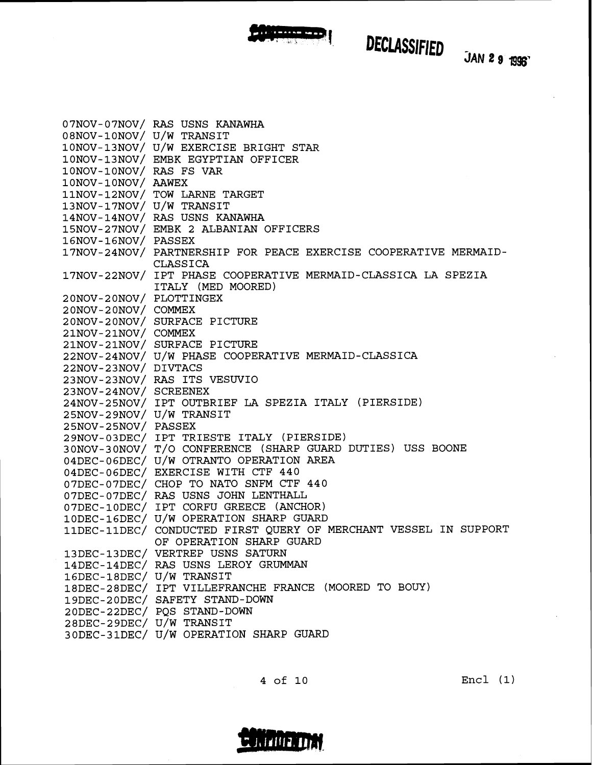

# DECLASSIFIED JAN 2 9 1996

|                          | 07NOV-07NOV/ RAS USNS KANAWHA                                    |
|--------------------------|------------------------------------------------------------------|
| 08NOV-10NOV/ U/W TRANSIT |                                                                  |
|                          | 10NOV-13NOV/ U/W EXERCISE BRIGHT STAR                            |
|                          | 10NOV-13NOV/ EMBK EGYPTIAN OFFICER                               |
| 10NOV-10NOV/ RAS FS VAR  |                                                                  |
| 10NOV-10NOV/ AAWEX       |                                                                  |
|                          | 11NOV-12NOV/ TOW LARNE TARGET                                    |
| 13NOV-17NOV/ U/W TRANSIT |                                                                  |
|                          | 14NOV-14NOV/ RAS USNS KANAWHA                                    |
|                          | 15NOV-27NOV/ EMBK 2 ALBANIAN OFFICERS                            |
| 16NOV-16NOV/ PASSEX      |                                                                  |
|                          | 17NOV-24NOV/ PARTNERSHIP FOR PEACE EXERCISE COOPERATIVE MERMAID- |
|                          | CLASSICA                                                         |
|                          | 17NOV-22NOV/ IPT PHASE COOPERATIVE MERMAID-CLASSICA LA SPEZIA    |
|                          | ITALY (MED MOORED)                                               |
| 20NOV-20NOV/ PLOTTINGEX  |                                                                  |
| 20NOV-20NOV/ COMMEX      |                                                                  |
|                          | 20NOV-20NOV/ SURFACE PICTURE                                     |
| 21NOV-21NOV/ COMMEX      |                                                                  |
|                          | 21NOV-21NOV/ SURFACE PICTURE                                     |
|                          | 22NOV-24NOV/ U/W PHASE COOPERATIVE MERMAID-CLASSICA              |
| 22NOV-23NOV/ DIVTACS     |                                                                  |
|                          | 23NOV-23NOV/ RAS ITS VESUVIO                                     |
| 23NOV-24NOV/ SCREENEX    |                                                                  |
|                          | 24NOV-25NOV/ IPT OUTBRIEF LA SPEZIA ITALY (PIERSIDE)             |
| 25NOV-29NOV/ U/W TRANSIT |                                                                  |
| 25NOV-25NOV/ PASSEX      |                                                                  |
|                          | 29NOV-03DEC/ IPT TRIESTE ITALY (PIERSIDE)                        |
|                          | 30NOV-30NOV/ T/O CONFERENCE (SHARP GUARD DUTIES) USS BOONE       |
|                          | 04DEC-06DEC/ U/W OTRANTO OPERATION AREA                          |
|                          | 04DEC-06DEC/ EXERCISE WITH CTF 440                               |
|                          | 07DEC-07DEC/ CHOP TO NATO SNFM CTF 440                           |
|                          | 07DEC-07DEC/ RAS USNS JOHN LENTHALL                              |
|                          | 07DEC-10DEC/ IPT CORFU GREECE (ANCHOR)                           |
|                          | 10DEC-16DEC/ U/W OPERATION SHARP GUARD                           |
|                          | 11DEC-11DEC/ CONDUCTED FIRST QUERY OF MERCHANT VESSEL IN SUPPORT |
|                          | OF OPERATION SHARP GUARD                                         |
|                          | 13DEC-13DEC/ VERTREP USNS SATURN                                 |
|                          | 14DEC-14DEC/ RAS USNS LEROY GRUMMAN                              |
| 16DEC-18DEC/ U/W TRANSIT |                                                                  |
|                          | 18DEC-28DEC/ IPT VILLEFRANCHE FRANCE (MOORED TO BOUY)            |
|                          | 19DEC-20DEC/ SAFETY STAND-DOWN                                   |
|                          | 20DEC-22DEC/ PQS STAND-DOWN                                      |
| 28DEC-29DEC/ U/W TRANSIT |                                                                  |
|                          | 30DEC-31DEC/ U/W OPERATION SHARP GUARD                           |

CONFIDENTIAL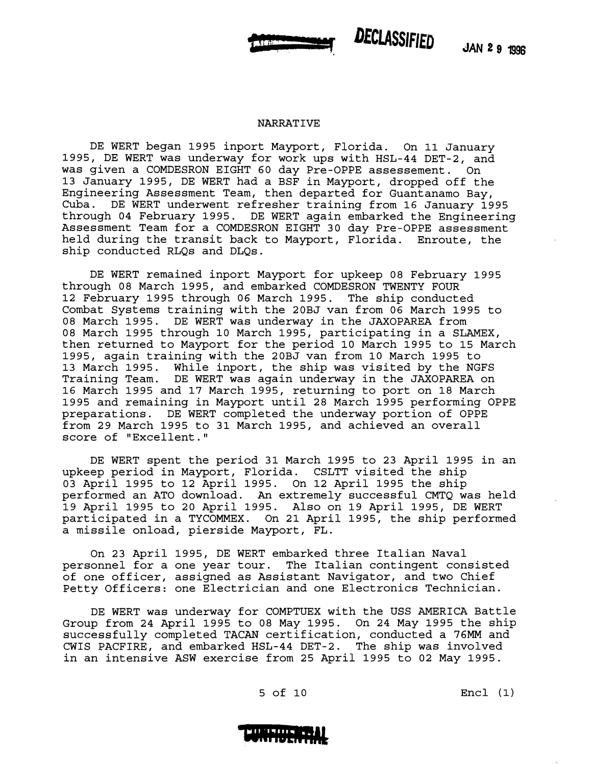

#### NARRATIVE

DE WERT began 1995 inport Mayport, Florida. On 11 January 1995, DE WERT was underway for work ups with HSL-44 DET-2, and was given a COMDESRON EIGHT 60 day Pre-OPPE assessement. On 13 January 1995, DE WERT had a BSF in Mayport, dropped off the Engineering Assessment Team, then departed for Guantanamo Bay, Cuba. DE WERT underwent refresher training from 16 January 1995 through 04 February 1995. DE WERT again embarked the Engineering Assessment Team for a COMDESRON EIGHT 30 day Pre-OPPE assessment held during the transit back to Mayport, Florida. Enroute, the ship conducted RLQs and DLQs.

DE WERT remained inport Mayport for upkeep 08 February 1995 through 08 March 1995, and embarked COMDESRON TWENTY FOUR 12 February 1995 through 06 March 1995. The ship conducted Combat Systems training with the 20BJ van from 06 March 1995 to 08 March 1995. DE WERT was underway in the JAXOPAREA from 08 March 1995 through 10 March 1995, participating in a SLAMEX, then returned to Mayport for the period 10 March 1995 to 15 March 1995, again training with the 20BJ van from 10 March 1995 to 13 March 1995. While inport, the ship was visited by the NGFS<br>Training Team. DE WERT was again underway in the JAXOPAREA on DE WERT was again underway in the JAXOPAREA on 16 March 1995 and 17 March 1995, returning to port on 18 March 1995 and remaining in Mayport until 28 March 1995 performing OPPE preparations. DE WERT completed the underway portion of OPPE from 29 March 1995 to 31 March 1995, and achieved an overall score of "Excellent."

DE WERT spent the period 31 March 1995 to 23 April 1995 in an upkeep period in Mayport, Florida. CSLTT visited the ship 03 April 1995 to 12 April 1995. On 12 April 1995 the ship performed an AT0 download. An extremely successful CMTQ was held 19 April 1995 to 20 April 1995. Also on 19 April 1995, DE WERT participated in a TYCOMMEX. On 21 April 1995, the ship performed a missile onload, pierside Mayport, FL.

On 23 April 1995, DE WERT embarked three Italian Naval personnel for a one year tour. The Italian contingent consisted of one officer, assigned as Assistant Navigator, and two Chief Petty Officers: one Electrician and one Electronics Technician.

DE WERT was underway for COMPTUEX with the USS AMERICA Battle Group from 24 April 1995 to 08 May 1995. On 24 May 1995 the ship successfully completed TACAN certification, conducted a **76MM** and CWIS PACFIRE, and embarked HSL-44 DET-2. The ship was involved in an intensive ASW exercise from 25 April 1995 to 02 May 1995.

5 of 10 Encl **(1)** 

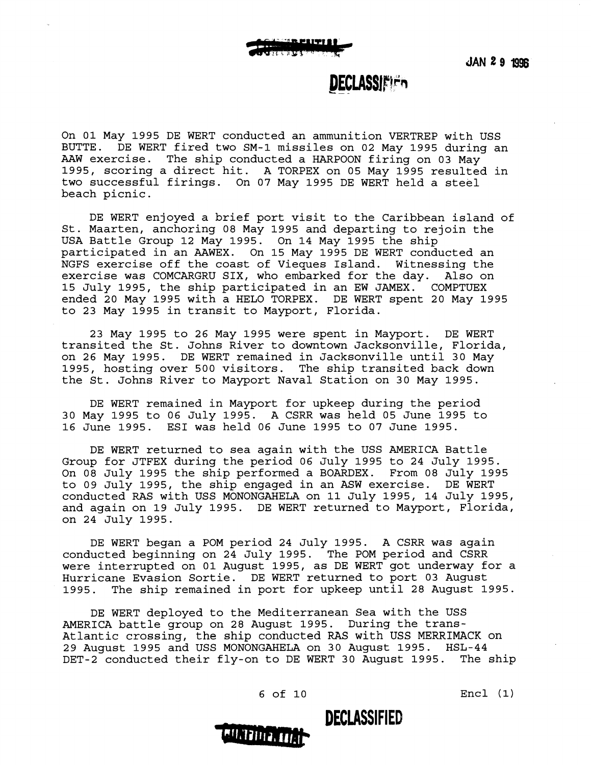### **DECLASSIEIEn**

On 01 May 1995 DE WERT conducted an ammunition VERTREP with USS BUTTE. DE WERT fired two SM-1 missiles on 02 May 1995 during an AAW exercise. The ship conducted a HARPOON firing on 03 May 1995, scoring a direct hit. A TORPEX on 05 May 1995 resulted in two successful firings. On 07 May 1995 DE WERT held a steel beach picnic.

DE WERT enjoyed a brief port visit to the Caribbean island of St. Maarten, anchoring 08 May 1995 and departing to rejoin the USA Battle Group 12 May 1995. On 14 May 1995 the ship participated in an AAWEX. On 15 May 1995 DE WERT conducted an NGFS exercise off the coast of Vieques Island. Witnessing the exercise was COMCARGRU SIX, who embarked for the day. Also on 15 July 1995, the ship participated in an EW JAMEX. COMPTUEX ended 20 May 1995 with a HELO TORPEX. DE WERT spent 20 May 1995 to 23 May 1995 in transit to Mayport, Florida.

23 May 1995 to 26 May 1995 were spent in Mayport. DE WERT transited the St. Johns River to downtown Jacksonville, Florida, on 26 May 1995. DE WERT remained in Jacksonville until 30 May 1995, hosting over 500 visitors. The ship transited back down the St. Johns River to Mayport Naval Station on 30 May 1995.

DE WERT remained in Mayport for upkeep during the period 30 May 1995 to 06 July 1995. A CSRR was held 05 June 1995 to 16 June 1995. ESI was held 06 June 1995 to 07 June 1995.

DE WERT returned to sea again with the USS AMERICA Battle Group for JTFEX during the period 06 July 1995 to 24 July 1995. On 08 July 1995 the ship performed a BOARDEX. From 08 July 1995 to 09 July 1995, the ship engaged in an ASW exercise. DE WERT conducted RAS with USS MONONGAHELA on 11 July 1995, 14 July 1995, and again on 19 July 1995. DE WERT returned to Mayport, Florida, on 24 July 1995.

DE WERT began a POM period 24 July 1995. A CSRR was again conducted beginning on 24 July 1995. The POM period and CSRR were interrupted on 01 August 1995, as DE WERT got underway for a Hurricane Evasion Sortie. DE WERT returned to port 03 August 1995. The ship remained in port for upkeep until 28 August 1995.

DE WERT deployed to the Mediterranean Sea with the USS AMERICA battle group on 28 August 1995. During the trans-Atlantic crossing, the ship conducted **RAS** with USS MERRIMACK on 29 August 1995 and USS MONONGAHELA on 30 August 1995. HSL-44 DET-2 conducted their fly-on to DE WERT 30 August 1995. The ship



6 of 10 Encl (1)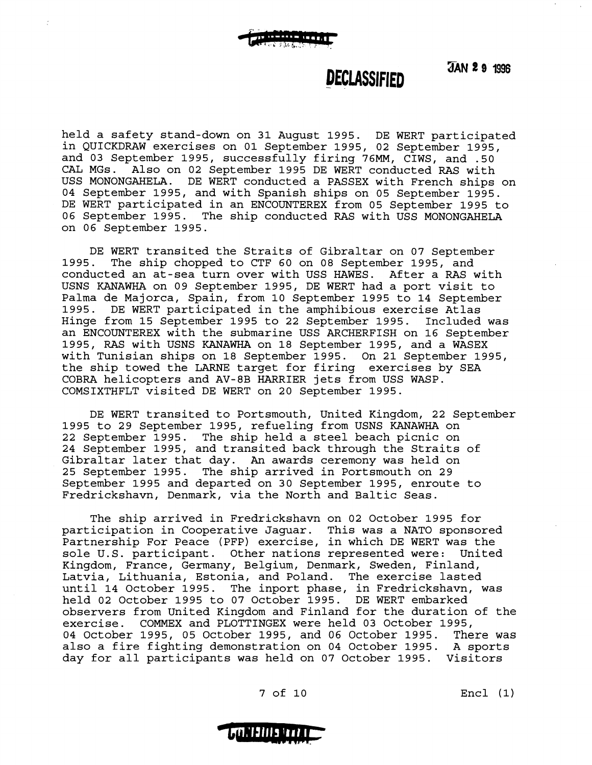JAN 2 9 1996

#### **DECLASSIFIED**

held a safety stand-down on 31 August 1995. DE WERT participated in QUICKDRAW exercises on 01 September 1995, 02 September 1995, and 03 September 1995, successfully firing 76MM, CIWS, and .50 CAL MGs. Also on 02 September 1995 DE WERT conducted RAS with USS MONONGAHELA. DE WERT conducted a PASSEX with French ships on 04 September 1995, and with Spanish ships on 05 September 1995. DE WERT participated in an ENCOUNTEREX from 05 September 1995 to 06 September 1995. The ship conducted RAS with USS MONONGAHELA on 06 September 1995.

DE WERT transited the Straits of Gibraltar on 07 September 1995. The ship chopped to CTF 60 on 08 September 1995, and conducted an at-sea turn over with USS HAWES. After a RAS with USNS KANAWHA on 09 September 1995, DE WERT had a port visit to Palma de Majorca, Spain, from 10 September 1995 to 14 September 1995. DE WERT participated in the amphibious exercise Atlas Hinge from 15 September 1995 to 22 September 1995. Included was an ENCOUNTEREX with the submarine USS ARCHERFISH on 16 September 1995, RAS with USNS KANAWHA on 18 September 1995, and a WASEX with Tunisian ships on 18 September 1995. On 21 September 1995, the ship towed the LARNE target for firing exercises by SEA COBRA helicopters and AV-8B HARRIER jets from USS WASP. COMSIXTHFLT visited DE WERT on 20 September 1995.

DE WERT transited to Portsmouth, United Kingdom, 22 September 1995 to 29 September 1995, refueling from USNS KANAWHA on 22 September 1995. The ship held a steel beach picnic on 24 September 1995, and transited back through the Straits of Gibraltar later that day. **An** awards ceremony was held on 25 September 1995. The ship arrived in Portsmouth on 29 September 1995 and departed on 30 September 1995, enroute to Fredrickshavn, Denmark, via the North and Baltic Seas.

The ship arrived in Fredrickshavn on 02 October 1995 for participation in Cooperative Jaguar. This was a NATO sponsored Partnership For Peace (PFP) exercise, in which DE WERT was the sole U.S. participant. Other nations represented were: United Kingdom, France, Germany, Belgium, Denmark, Sweden, Finland, Latvia, Lithuania, Estonia, and Poland. The exercise lasted until 14 October 1995. The inport phase, in Fredrickshavn, was held 02 October 1995 to 07 October 1995. DE WERT embarked observers from United Kingdom and Finland for the duration of the exercise. COMMEX and PLOTTINGEX were held 03 October 1995, 04 October 1995, 05 October 1995, and 06 October 1995. There was also a fire fighting demonstration on 04 October 1995. A sports day for all participants was held on 07 October 1995. Visitors

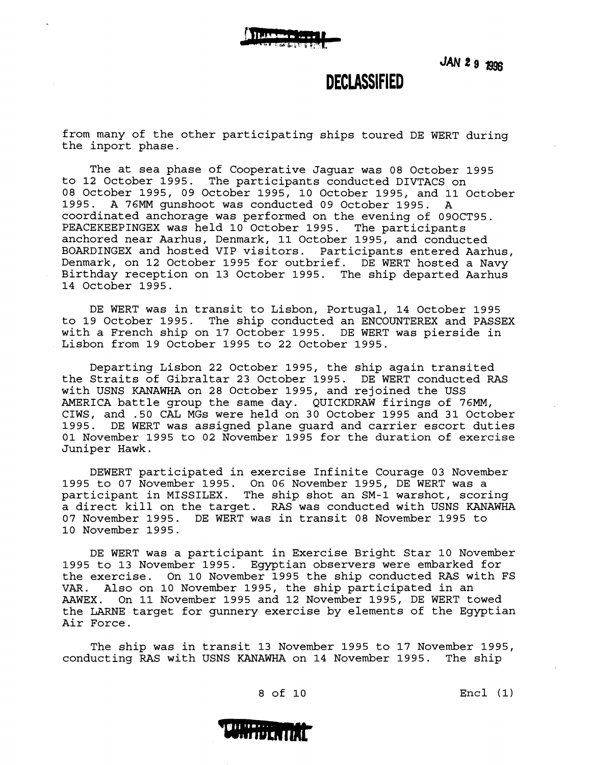#### **DECLASSIFIED**

from many of the other participating ships toured DE WERT during the inport phase.

The at sea phase of Cooperative Jaguar was 08 October 1995 to 12 October 1995. The participants conducted DIVTACS on 08 October 1995, 09 October 1995, 10 October 1995, and 11 October 1995. A 76MM gunshoot was conducted 09 October 1995. A coordinated anchorage was performed on the evening of 090CT95. PEACEKEEPINGEX was held 10 October 1995. The participants anchored near Aarhus, Denmark, 11 October 1995, and conducted BOARDINGEX and hosted VIP visitors. Participants entered Aarhus, Denmark, on 12 October 1995 for outbrief. DE WERT hosted a Navy Birthday reception on 13 October 1995. The ship departed Aarhus 14 October 1995.

DE WERT was in transit to Lisbon, Portugal, 14 October 1995 to 19 October 1995. The ship conducted an ENCOUNTEREX and PASSEX with a French ship on 17 October 1995. DE WERT was pierside in Lisbon from 19 October 1995 to 22 October 1995.

Departing Lisbon 22 October 1995, the ship again transited the Straits of Gibraltar 23 October 1995. DE WERT conducted RAS with USNS KANAWHA on 28 October 1995, and rejoined the USS AMERICA battle group the same day. QUICKDRAW firings of 76MM, CIWS, and .50 CAL MGs were held on 30 October 1995 and 31 October 1995. DE WERT was assigned plane guard and carrier escort duties 01 November 1995 to 02 November 1995 for the duration of exercise Juniper Hawk.

DEWERT participated in exercise Infinite Courage 03 November 1995 to 07 November 1995. On 06 November 1995, DE WERT was a participant in MISSILEX. The ship shot an SM-1 warshot, scoring a direct kill on the target. RAS was conducted with USNS KANAWHA 07 November 1995. DE WERT was in transit 08 November 1995 to 10 November 1995.

DE WERT was a participant in Exercise Bright Star 10 November 1995 to 13 November 1995. Egyptian observers were embarked for the exercise. On 10 November 1995 the ship conducted RAS with FS VAR. Also on 10 November 1995, the ship participated in an On 11 November 1995 and 12 November 1995, DE WERT towed the LARNE target for gunnery exercise by elements of the Egyptian Air Force.

The ship was in transit 13 November 1995 to 17 November 1995, conducting RAS with USNS KANAWHA on 14 November 1995. The ship

8 of 10 Encl (1)

# **BII 1181-1**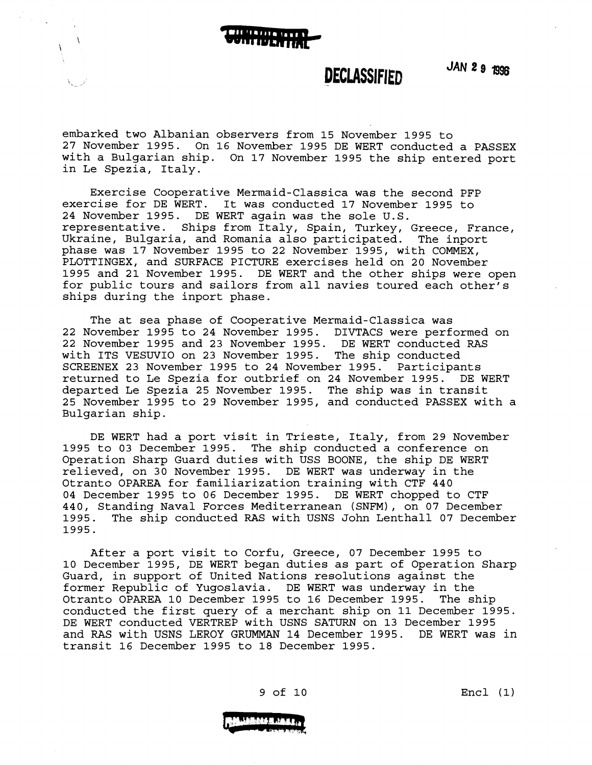

#### **DECLASSIFIED**

**JAN 29 age** 

embarked two Albanian observers from 15 November 1995 to 27 November 1995. On 16 November 1995 DE WERT conducted a PASSEX with a Bulgarian ship. On 17 November 1995 the ship entered port in Le Spezia, Italy.

Exercise Cooperative Mermaid-Classica was the second PFP exercise for DE WERT. It was conducted 17 November 1995 to 24 November 1995. DE WERT again was the sole U.S. representative. Ships from Italy, Spain, Turkey, Greece, France, Ukraine, Bulgaria, and Romania also participated. The inport phase was 17 November 1995 to 22 November 1995, with COMMEX, PLOTTINGEX, and SURFACE PICTURE exercises held on 20 November 1995 and 21 November 1995. DE WERT and the other ships were open for public tours and sailors from all navies toured each other's ships during the inport phase.

The at sea phase of Cooperative Mermaid-Classica was 22 November 1995 to 24 November 1995. DIVTACS were performed on 22 November 1995 and 23 November 1995. DE WERT conducted RAS with ITS VESWIO on 23 November 1995. The ship conducted SCREENEX 23 November 1995 to 24 November 1995. Participants returned to Le Spezia for outbrief on 24 November 1995. DE WERT departed Le Spezia 25 November 1995. The ship was in transit 25 November 1995 to 29 November 1995, and conducted PASSEX with a Bulgarian ship.

DE WERT had a port visit in Trieste, Italy, from 29 November 1995 to 03 December 1995. The ship conducted a conference on Operation Sharp Guard duties with USS BOONE, the ship DE WERT relieved, on 30 November 1995. DE WERT was underway in the Otranto OPAREA for familiarization training with CTF 440 04 December 1995 to 06 December 1995. DE WERT chopped to CTF 440, Standing Naval Forces Mediterranean (SNFM), on 07 December The ship conducted RAS with USNS John Lenthall 07 December 1995.

After a port visit to Corfu, Greece, 07 December 1995 to 10 December 1995, DE WERT began duties as part of Operation Sharp Guard, in support of United Nations resolutions against the former Republic of Yugoslavia. DE WERT was underway in the Otranto OPAREA 10 December 1995 to 16 December 1995. conducted the first query of a merchant ship on 11 December 1995. DE WERT conducted VERTREP with USNS SATURN on 13 December 1995 and RAS with USNS LEROY GRUMMAN 14 December 1995. DE WERT was in transit 16 December 1995 to 18 December 1995.



9 of 10